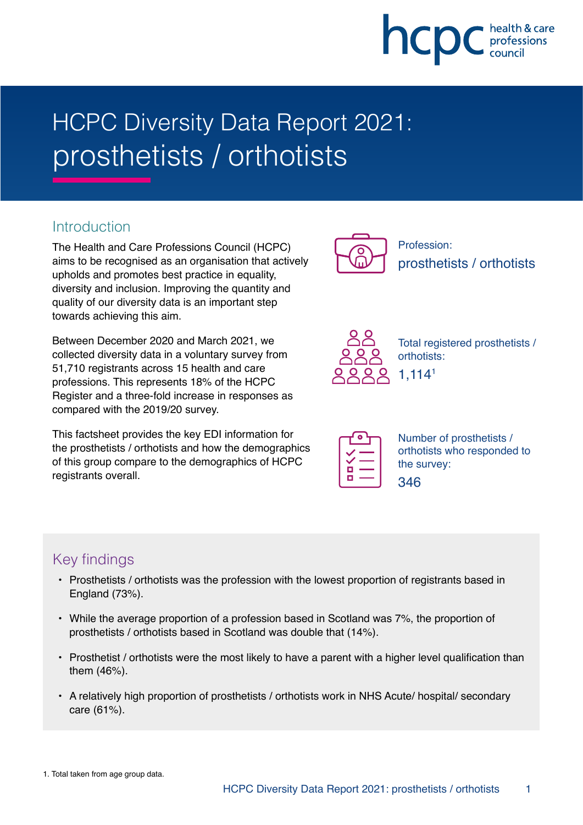

# HCPC Diversity Data Report 2021: prosthetists / orthotists

### **Introduction**

The Health and Care Professions Council (HCPC) aims to be recognised as an organisation that actively upholds and promotes best practice in equality, diversity and inclusion. Improving the quantity and quality of our diversity data is an important step towards achieving this aim.

Between December 2020 and March 2021, we collected diversity data in a voluntary survey from 51,710 registrants across 15 health and care professions. This represents 18% of the HCPC Register and a three-fold increase in responses as compared with the 2019/20 survey.

This factsheet provides the key EDI information for the prosthetists / orthotists and how the demographics of this group compare to the demographics of HCPC registrants overall.



Profession: prosthetists / orthotists



Total registered prosthetists / orthotists: 1,1141

| г |  |
|---|--|
| ī |  |

346

Number of prosthetists / orthotists who responded to the survey:

## Key findings

- Prosthetists / orthotists was the profession with the lowest proportion of registrants based in England (73%).
- While the average proportion of a profession based in Scotland was 7%, the proportion of prosthetists / orthotists based in Scotland was double that (14%).
- Prosthetist / orthotists were the most likely to have a parent with a higher level qualification than them (46%).
- A relatively high proportion of prosthetists / orthotists work in NHS Acute/ hospital/ secondary care (61%).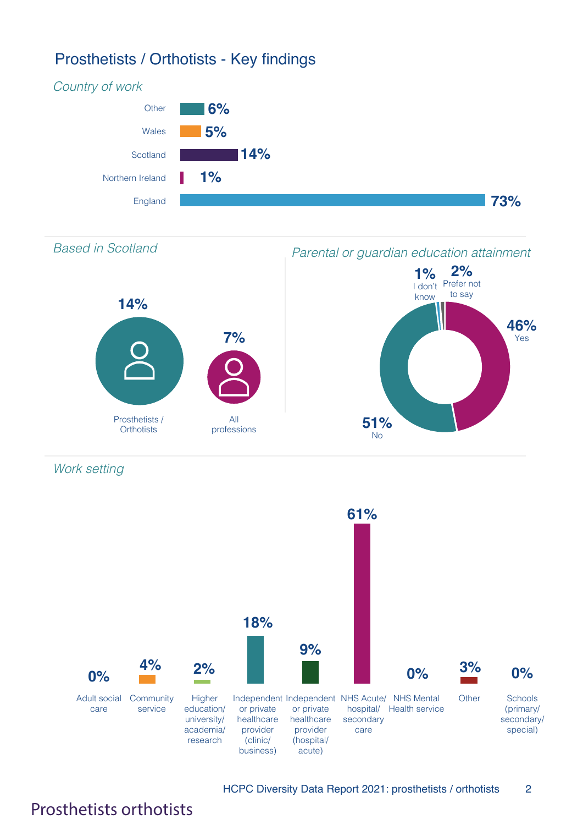## Prosthetists / Orthotists - Key findings





Work setting



HCPC Diversity Data Report 2021: prosthetists / orthotists 2

## Prosthetists orthotists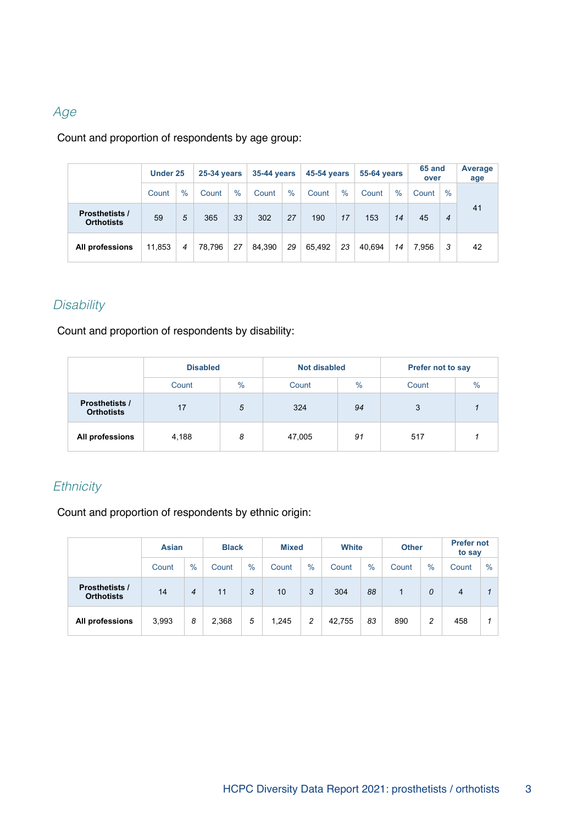#### Age

Count and proportion of respondents by age group:

|                                            | <b>Under 25</b> |      | <b>25-34 years</b> |      | <b>35-44 years</b> |               | <b>45-54 years</b> |      | <b>55-64 years</b> |      | 65 and<br>over |      | Average<br>age |
|--------------------------------------------|-----------------|------|--------------------|------|--------------------|---------------|--------------------|------|--------------------|------|----------------|------|----------------|
|                                            | Count           | $\%$ | Count              | $\%$ | Count              | $\frac{0}{0}$ | Count              | $\%$ | Count              | $\%$ | Count          | $\%$ |                |
| <b>Prosthetists /</b><br><b>Orthotists</b> | 59              | 5    | 365                | 33   | 302                | 27            | 190                | 17   | 153                | 14   | 45             | 4    | 41             |
| All professions                            | 11,853          | 4    | 78,796             | 27   | 84.390             | 29            | 65.492             | 23   | 40.694             | 14   | 7.956          | 3    | 42             |

#### **Disability**

Count and proportion of respondents by disability:

|                                            | <b>Disabled</b> |      | <b>Not disabled</b> |               | Prefer not to say      |  |  |
|--------------------------------------------|-----------------|------|---------------------|---------------|------------------------|--|--|
|                                            | Count           | $\%$ | Count               | $\frac{0}{0}$ | $\frac{0}{0}$<br>Count |  |  |
| <b>Prosthetists /</b><br><b>Orthotists</b> | 17              | 5    | 324                 | 94            | 3                      |  |  |
| All professions                            | 4,188           | 8    | 47,005              | 91            | 517                    |  |  |

#### **Ethnicity**

Count and proportion of respondents by ethnic origin:

|                                            | <b>Asian</b> |                | <b>Black</b> |      |       | <b>Mixed</b>  |        | White         |       | <b>Other</b> | <b>Prefer not</b><br>to say |      |
|--------------------------------------------|--------------|----------------|--------------|------|-------|---------------|--------|---------------|-------|--------------|-----------------------------|------|
|                                            | Count        | $\frac{0}{0}$  | Count        | $\%$ | Count | $\frac{0}{0}$ | Count  | $\frac{0}{0}$ | Count | $\%$         | Count                       | $\%$ |
| <b>Prosthetists /</b><br><b>Orthotists</b> | 14           | $\overline{4}$ | 11           | 3    | 10    | 3             | 304    | 88            | 1     | 0            | $\overline{4}$              |      |
| All professions                            | 3,993        | 8              | 2,368        | 5    | 1.245 | 2             | 42.755 | 83            | 890   | 2            | 458                         |      |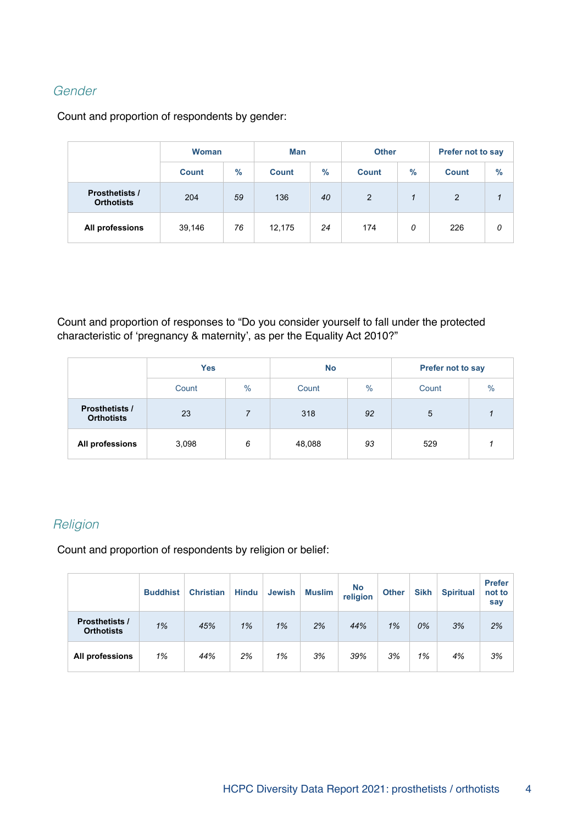#### Gender

Count and proportion of respondents by gender:

|                                            | <b>Woman</b><br>$\%$<br><b>Count</b> |    | <b>Man</b>   |                      | <b>Other</b> |      | Prefer not to say |      |  |
|--------------------------------------------|--------------------------------------|----|--------------|----------------------|--------------|------|-------------------|------|--|
|                                            |                                      |    | <b>Count</b> | $\%$                 | <b>Count</b> | $\%$ | <b>Count</b>      | $\%$ |  |
| <b>Prosthetists /</b><br><b>Orthotists</b> | 204                                  | 59 | 136          | $\overline{2}$<br>40 |              |      | $\overline{2}$    | 1    |  |
| All professions                            | 39,146                               | 76 | 12,175       | 24                   | 174          | 0    | 226               | 0    |  |

Count and proportion of responses to "Do you consider yourself to fall under the protected characteristic of 'pregnancy & maternity', as per the Equality Act 2010?"

|                                            | <b>Yes</b> |      | <b>No</b> |               | Prefer not to say |               |  |
|--------------------------------------------|------------|------|-----------|---------------|-------------------|---------------|--|
|                                            | Count      | $\%$ | Count     | $\frac{0}{0}$ | Count             | $\frac{0}{0}$ |  |
| <b>Prosthetists /</b><br><b>Orthotists</b> | 23         |      | 318       | 92            | 5                 |               |  |
| All professions                            | 3,098      | 6    | 48,088    | 93            | 529               |               |  |

#### **Religion**

Count and proportion of respondents by religion or belief:

|                                            | <b>Buddhist</b> | <b>Christian</b> | <b>Hindu</b> | <b>Jewish</b> | <b>Muslim</b> | <b>No</b><br>religion | <b>Other</b> | <b>Sikh</b> | <b>Spiritual</b> | <b>Prefer</b><br>not to<br>say |
|--------------------------------------------|-----------------|------------------|--------------|---------------|---------------|-----------------------|--------------|-------------|------------------|--------------------------------|
| <b>Prosthetists /</b><br><b>Orthotists</b> | 1%              | 45%              | 1%           | 1%            | 2%            | 44%                   | 1%           | 0%          | 3%               | 2%                             |
| All professions                            | 1%              | 44%              | 2%           | 1%            | 3%            | 39%                   | 3%           | 1%          | 4%               | 3%                             |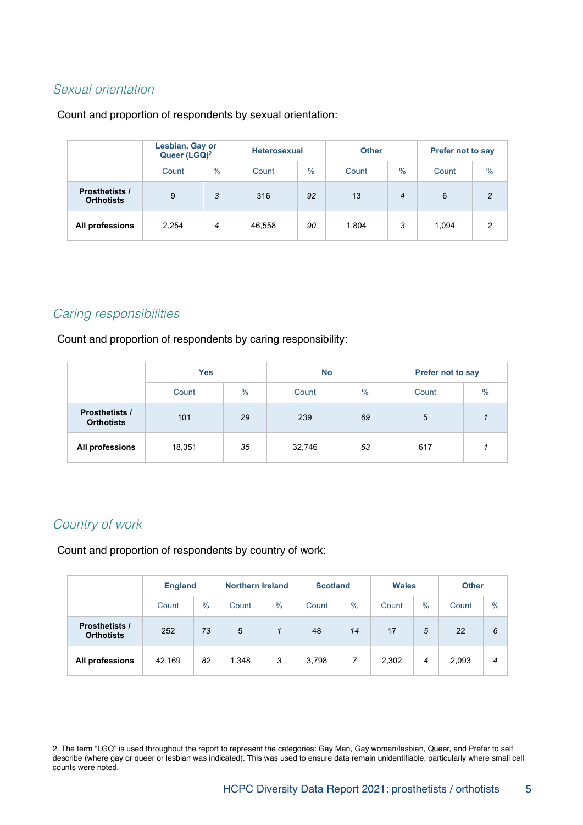#### Sexual orientation

#### Count and proportion of respondents by sexual orientation:

|                                            | Lesbian, Gay or<br>Queer (LGQ) <sup>2</sup> |      |        | <b>Heterosexual</b> |       |      | <b>Prefer not to say</b> |                |  |
|--------------------------------------------|---------------------------------------------|------|--------|---------------------|-------|------|--------------------------|----------------|--|
|                                            | Count                                       | $\%$ | Count  | $\frac{0}{0}$       | Count | $\%$ | Count                    | $\%$           |  |
| <b>Prosthetists /</b><br><b>Orthotists</b> | 9                                           | 3    | 316    | 92                  | 13    | 4    | 6                        | $\mathfrak{p}$ |  |
| All professions                            | 2,254                                       | 4    | 46,558 | 90                  | 1.804 | 3    | 1.094                    | 2              |  |

#### Caring responsibilities

Count and proportion of respondents by caring responsibility:

|                                            | <b>Yes</b> |      | <b>No</b> |               | <b>Prefer not to say</b> |      |  |
|--------------------------------------------|------------|------|-----------|---------------|--------------------------|------|--|
|                                            | Count      | $\%$ | Count     | $\frac{0}{0}$ | Count                    | $\%$ |  |
| <b>Prosthetists /</b><br><b>Orthotists</b> | 101        | 29   | 239       | 69            | 5                        |      |  |
| All professions                            | 18,351     | 35   | 32,746    | 63            | 617                      |      |  |

#### Country of work

Count and proportion of respondents by country of work:

|                                            |        | <b>England</b> |       | <b>Northern Ireland</b> |       | <b>Scotland</b> | <b>Wales</b> |      | <b>Other</b> |      |
|--------------------------------------------|--------|----------------|-------|-------------------------|-------|-----------------|--------------|------|--------------|------|
|                                            | Count  | $\%$           | Count | $\%$                    | Count | $\%$            | Count        | $\%$ | Count        | $\%$ |
| <b>Prosthetists /</b><br><b>Orthotists</b> | 252    | 73             | 5     | 1                       | 48    | 14              | 17           | 5    | 22           | 6    |
| All professions                            | 42,169 | 82             | 1,348 | 3                       | 3,798 | 7               | 2,302        | 4    | 2,093        | 4    |

2. The term "LGQ" is used throughout the report to represent the categories: Gay Man, Gay woman/lesbian, Queer, and Prefer to self describe (where gay or queer or lesbian was indicated). This was used to ensure data remain unidentifiable, particularly where small cell counts were noted.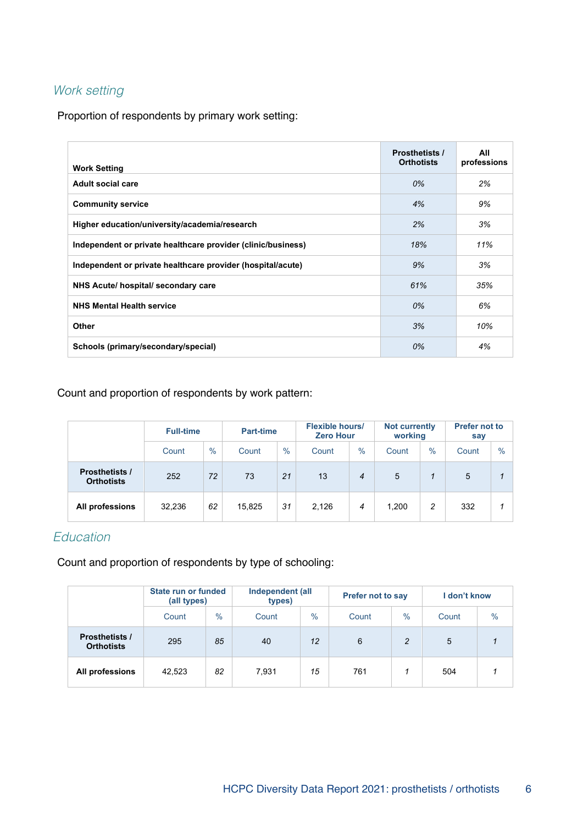#### Work setting

Proportion of respondents by primary work setting:

| <b>Work Setting</b>                                          | <b>Prosthetists /</b><br><b>Orthotists</b> | All<br>professions |
|--------------------------------------------------------------|--------------------------------------------|--------------------|
| Adult social care                                            | 0%                                         | 2%                 |
| <b>Community service</b>                                     | 4%                                         | 9%                 |
| Higher education/university/academia/research                | 2%                                         | 3%                 |
| Independent or private healthcare provider (clinic/business) | 18%                                        | 11%                |
| Independent or private healthcare provider (hospital/acute)  | 9%                                         | 3%                 |
| NHS Acute/ hospital/ secondary care                          | 61%                                        | 35%                |
| <b>NHS Mental Health service</b>                             | 0%                                         | 6%                 |
| Other                                                        | 3%                                         | 10%                |
| Schools (primary/secondary/special)                          | 0%                                         | 4%                 |

Count and proportion of respondents by work pattern:

|                                            | <b>Full-time</b> |               | Part-time |      |       | <b>Flexible hours/</b><br><b>Zero Hour</b> |       | <b>Not currently</b><br>working | <b>Prefer not to</b><br>say |               |
|--------------------------------------------|------------------|---------------|-----------|------|-------|--------------------------------------------|-------|---------------------------------|-----------------------------|---------------|
|                                            | Count            | $\frac{0}{0}$ | Count     | $\%$ | Count | $\frac{0}{0}$                              | Count | $\frac{0}{0}$                   | Count                       | $\frac{0}{0}$ |
| <b>Prosthetists /</b><br><b>Orthotists</b> | 252              | 72            | 73        | 21   | 13    | 4                                          | 5     | 1                               | 5                           |               |
| All professions                            | 32,236           | 62            | 15,825    | 31   | 2,126 | 4                                          | 1,200 | 2                               | 332                         |               |

#### Education

Count and proportion of respondents by type of schooling:

|                                            | State run or funded<br>(all types) |               | Independent (all<br>types) |               | <b>Prefer not to say</b> |      | I don't know |      |
|--------------------------------------------|------------------------------------|---------------|----------------------------|---------------|--------------------------|------|--------------|------|
|                                            | Count                              | $\frac{0}{0}$ | Count                      | $\frac{0}{0}$ | Count                    | $\%$ | Count        | $\%$ |
| <b>Prosthetists /</b><br><b>Orthotists</b> | 295                                | 85            | 40                         | 12            | 6                        | 2    | 5            |      |
| All professions                            | 42,523                             | 82            | 7.931                      | 15            | 761                      |      | 504          |      |